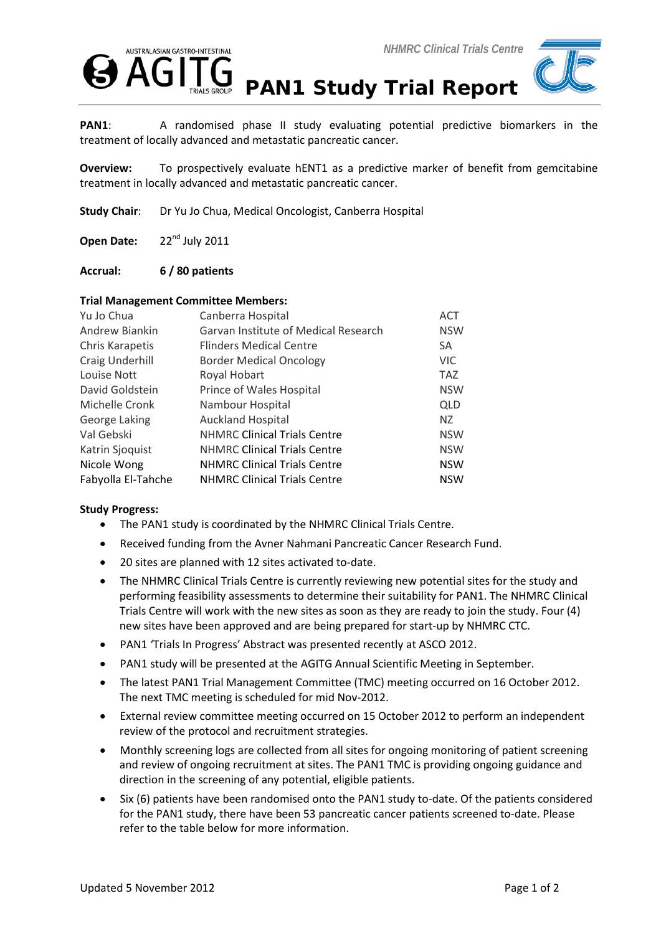



PAN1: A randomised phase II study evaluating potential predictive biomarkers in the treatment of locally advanced and metastatic pancreatic cancer.

**Overview:** To prospectively evaluate hENT1 as a predictive marker of benefit from gemcitabine treatment in locally advanced and metastatic pancreatic cancer.

**Study Chair**: Dr Yu Jo Chua, Medical Oncologist, Canberra Hospital

Open Date: 22<sup>nd</sup> July 2011

**Accrual: 6 / 80 patients**

## **Trial Management Committee Members:**

| Yu Jo Chua         | Canberra Hospital                    | <b>ACT</b> |
|--------------------|--------------------------------------|------------|
| Andrew Biankin     | Garvan Institute of Medical Research | <b>NSW</b> |
| Chris Karapetis    | <b>Flinders Medical Centre</b>       | SA         |
| Craig Underhill    | <b>Border Medical Oncology</b>       | <b>VIC</b> |
| Louise Nott        | Royal Hobart                         | <b>TAZ</b> |
| David Goldstein    | Prince of Wales Hospital             | <b>NSW</b> |
| Michelle Cronk     | Nambour Hospital                     | <b>QLD</b> |
| George Laking      | <b>Auckland Hospital</b>             | NZ.        |
| Val Gebski         | <b>NHMRC Clinical Trials Centre</b>  | <b>NSW</b> |
| Katrin Sjoquist    | <b>NHMRC Clinical Trials Centre</b>  | <b>NSW</b> |
| Nicole Wong        | <b>NHMRC Clinical Trials Centre</b>  | <b>NSW</b> |
| Fabyolla El-Tahche | <b>NHMRC Clinical Trials Centre</b>  | <b>NSW</b> |

## **Study Progress:**

- The PAN1 study is coordinated by the NHMRC Clinical Trials Centre.
- Received funding from the Avner Nahmani Pancreatic Cancer Research Fund.
- 20 sites are planned with 12 sites activated to-date.
- The NHMRC Clinical Trials Centre is currently reviewing new potential sites for the study and performing feasibility assessments to determine their suitability for PAN1. The NHMRC Clinical Trials Centre will work with the new sites as soon as they are ready to join the study. Four (4) new sites have been approved and are being prepared for start-up by NHMRC CTC.
- PAN1 'Trials In Progress' Abstract was presented recently at ASCO 2012.
- PAN1 study will be presented at the AGITG Annual Scientific Meeting in September.
- The latest PAN1 Trial Management Committee (TMC) meeting occurred on 16 October 2012. The next TMC meeting is scheduled for mid Nov-2012.
- External review committee meeting occurred on 15 October 2012 to perform an independent review of the protocol and recruitment strategies.
- Monthly screening logs are collected from all sites for ongoing monitoring of patient screening and review of ongoing recruitment at sites. The PAN1 TMC is providing ongoing guidance and direction in the screening of any potential, eligible patients.
- Six (6) patients have been randomised onto the PAN1 study to-date. Of the patients considered for the PAN1 study, there have been 53 pancreatic cancer patients screened to-date. Please refer to the table below for more information.